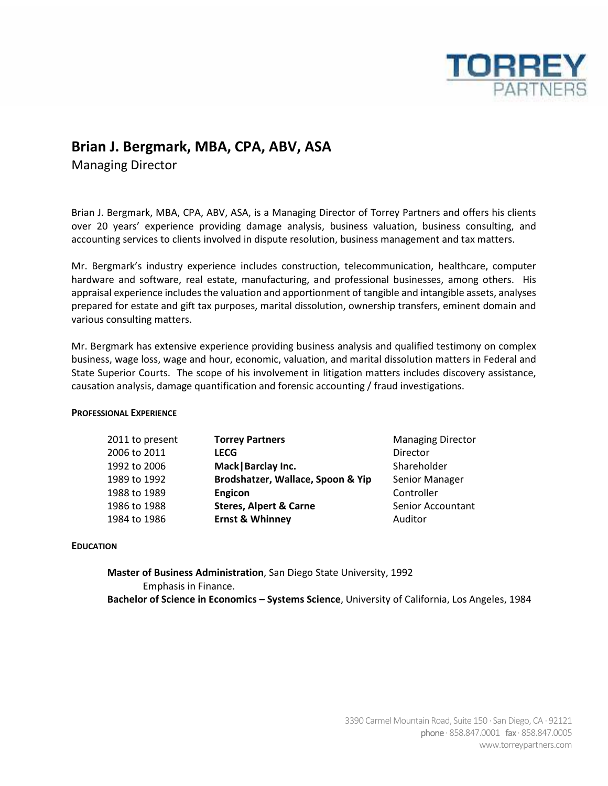

# **Brian J. Bergmark, MBA, CPA, ABV, ASA**

Managing Director

Brian J. Bergmark, MBA, CPA, ABV, ASA, is a Managing Director of Torrey Partners and offers his clients over 20 years' experience providing damage analysis, business valuation, business consulting, and accounting services to clients involved in dispute resolution, business management and tax matters.

Mr. Bergmark's industry experience includes construction, telecommunication, healthcare, computer hardware and software, real estate, manufacturing, and professional businesses, among others. His appraisal experience includes the valuation and apportionment of tangible and intangible assets, analyses prepared for estate and gift tax purposes, marital dissolution, ownership transfers, eminent domain and various consulting matters.

Mr. Bergmark has extensive experience providing business analysis and qualified testimony on complex business, wage loss, wage and hour, economic, valuation, and marital dissolution matters in Federal and State Superior Courts. The scope of his involvement in litigation matters includes discovery assistance, causation analysis, damage quantification and forensic accounting / fraud investigations.

## **PROFESSIONAL EXPERIENCE**

| 2011 to present | <b>Torrey Partners</b>            | <b>Managing Director</b> |
|-----------------|-----------------------------------|--------------------------|
| 2006 to 2011    | <b>LECG</b>                       | Director                 |
| 1992 to 2006    | Mack   Barclay Inc.               | Shareholder              |
| 1989 to 1992    | Brodshatzer, Wallace, Spoon & Yip | Senior Manager           |
| 1988 to 1989    | <b>Engicon</b>                    | Controller               |
| 1986 to 1988    | <b>Steres, Alpert &amp; Carne</b> | Senior Accountant        |
| 1984 to 1986    | <b>Ernst &amp; Whinney</b>        | Auditor                  |

## **EDUCATION**

**Master of Business Administration**, San Diego State University, 1992 Emphasis in Finance. **Bachelor of Science in Economics – Systems Science**, University of California, Los Angeles, 1984